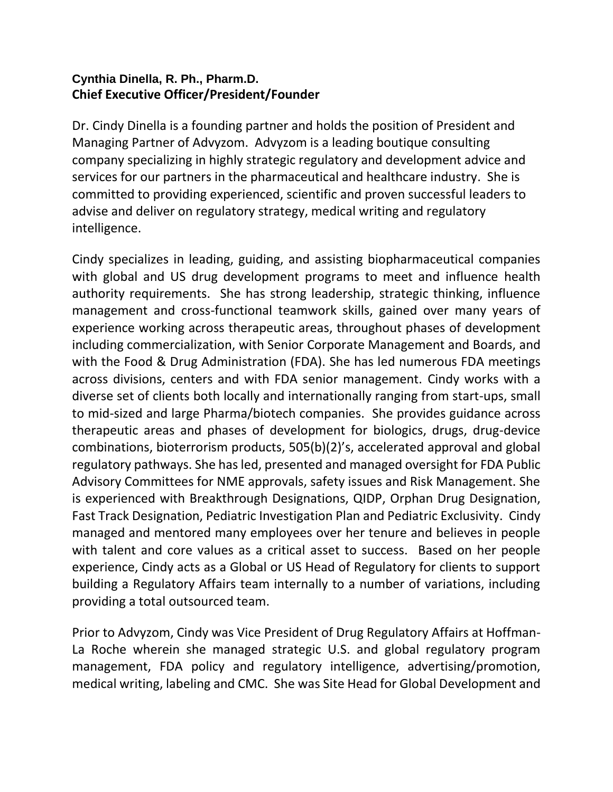## **Cynthia Dinella, R. Ph., Pharm.D. Chief Executive Officer/President/Founder**

Dr. Cindy Dinella is a founding partner and holds the position of President and Managing Partner of Advyzom. Advyzom is a leading boutique consulting company specializing in highly strategic regulatory and development advice and services for our partners in the pharmaceutical and healthcare industry. She is committed to providing experienced, scientific and proven successful leaders to advise and deliver on regulatory strategy, medical writing and regulatory intelligence.

Cindy specializes in leading, guiding, and assisting biopharmaceutical companies with global and US drug development programs to meet and influence health authority requirements. She has strong leadership, strategic thinking, influence management and cross-functional teamwork skills, gained over many years of experience working across therapeutic areas, throughout phases of development including commercialization, with Senior Corporate Management and Boards, and with the Food & Drug Administration (FDA). She has led numerous FDA meetings across divisions, centers and with FDA senior management. Cindy works with a diverse set of clients both locally and internationally ranging from start-ups, small to mid-sized and large Pharma/biotech companies. She provides guidance across therapeutic areas and phases of development for biologics, drugs, drug-device combinations, bioterrorism products, 505(b)(2)'s, accelerated approval and global regulatory pathways. She has led, presented and managed oversight for FDA Public Advisory Committees for NME approvals, safety issues and Risk Management. She is experienced with Breakthrough Designations, QIDP, Orphan Drug Designation, Fast Track Designation, Pediatric Investigation Plan and Pediatric Exclusivity. Cindy managed and mentored many employees over her tenure and believes in people with talent and core values as a critical asset to success. Based on her people experience, Cindy acts as a Global or US Head of Regulatory for clients to support building a Regulatory Affairs team internally to a number of variations, including providing a total outsourced team.

Prior to Advyzom, Cindy was Vice President of Drug Regulatory Affairs at Hoffman-La Roche wherein she managed strategic U.S. and global regulatory program management, FDA policy and regulatory intelligence, advertising/promotion, medical writing, labeling and CMC. She was Site Head for Global Development and